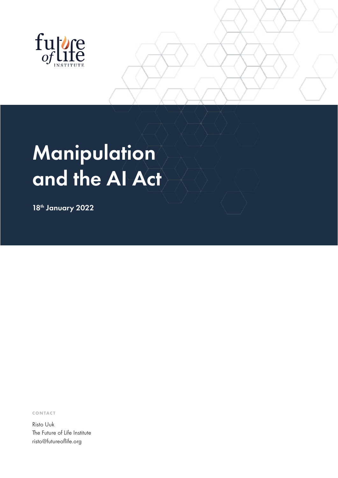

# **Manipulation** and the AI Act

18th January 2022

**CONTACT**

Risto Uuk The Future of Life Institute risto@futureoflife.org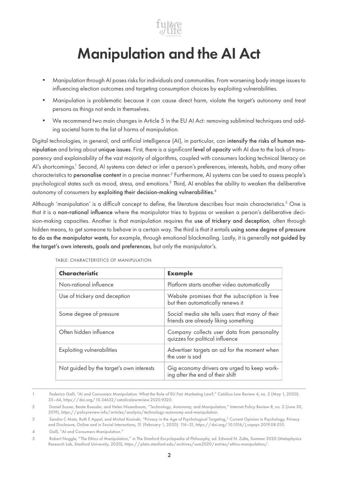

## Manipulation and the AI Act

- • Manipulation through AI poses risks for individuals and communities. From worsening body image issues to influencing election outcomes and targeting consumption choices by exploiting vulnerabilities.
- Manipulation is problematic because it can cause direct harm, violate the target's autonomy and treat persons as things not ends in themselves.
- • We recommend two main changes in Article 5 in the EU AI Act: removing subliminal techniques and adding societal harm to the list of harms of manipulation.

Digital technologies, in general, and artificial intelligence (AI), in particular, can intensify the risks of human manipulation and bring about unique issues. First, there is a significant level of opacity with AI due to the lack of transparency and explainability of the vast majority of algorithms, coupled with consumers lacking technical literacy on AI's shortcomings.<sup>1</sup> Second, AI systems can detect or infer a person's preferences, interests, habits, and many other characteristics to **personalise content** in a precise manner.<sup>2</sup> Furthermore, AI systems can be used to assess people's psychological states such as mood, stress, and emotions.<sup>3</sup> Third, AI enables the ability to weaken the deliberative autonomy of consumers by exploiting their decision-making vulnerabilities. 4

Although 'manipulation' is a difficult concept to define, the literature describes four main characteristics.5 One is that it is a non-rational influence where the manipulator tries to bypass or weaken a person's deliberative decision-making capacities. Another is that manipulation requires the use of trickery and deception, often through hidden means, to get someone to behave in a certain way. The third is that it entails using some degree of pressure to do as the manipulator wants, for example, through emotional blackmailing. Lastly, it is generally not guided by the target's own interests, goals and preferences, but only the manipulator's.

| Characteristic                           | <b>Example</b>                                                                           |
|------------------------------------------|------------------------------------------------------------------------------------------|
| Non-rational influence                   | Platform starts another video automatically                                              |
| Use of trickery and deception            | Website promises that the subscription is free<br>but then automatically renews it       |
| Some degree of pressure                  | Social media site tells users that many of their<br>friends are already liking something |
| Often hidden influence                   | Company collects user data from personality<br>quizzes for political influence           |
| <b>Exploiting vulnerabilities</b>        | Advertiser targets an ad for the moment when<br>the user is sad                          |
| Not guided by the target's own interests | Gig economy drivers are urged to keep work-<br>ing after the end of their shift          |

TABLE: CHARACTERISTICS OF MANIPULATION

<sup>1</sup> Federico Galli, "AI and Consumers Manipulation: What the Role of EU Fair Marketing Law?," Católica Law Review 4, no. 2 (May 1, 2020): 35–64, https://doi.org/10.34632/catolicalawreview.2020.9320.

<sup>2</sup> Daniel Susser, Beate Roessler, and Helen Nissenbaum, "Technology, Autonomy, and Manipulation," Internet Policy Review 8, no. 2 (June 30, 2019), https://policyreview.info/articles/analysis/technology-autonomy-and-manipulation.

<sup>3</sup> Sandra C Matz, Ruth E Appel, and Michal Kosinski, "Privacy in the Age of Psychological Targeting," Current Opinion in Psychology, Privacy and Disclosure, Online and in Social Interactions, 31 (February 1, 2020): 116–21, https://doi.org/10.1016/j.copsyc.2019.08.010.

<sup>4</sup> Galli, "AI and Consumers Manipulation."

<sup>5</sup> Robert Noggle, "The Ethics of Manipulation," in The Stanford Encyclopedia of Philosophy, ed. Edward N. Zalta, Summer 2020 (Metaphysics Research Lab, Stanford University, 2020), https://plato.stanford.edu/archives/sum2020/entries/ethics-manipulation/.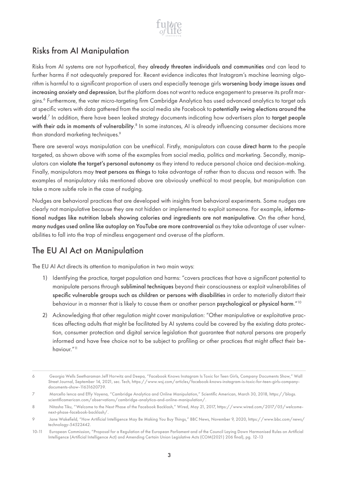

### Risks from AI Manipulation

Risks from AI systems are not hypothetical, they already threaten individuals and communities and can lead to further harms if not adequately prepared for. Recent evidence indicates that Instagram's machine learning algorithm is harmful to a significant proportion of users and especially teenage girls worsening body image issues and increasing anxiety and depression, but the platform does not want to reduce engagement to preserve its profit margins.6 Furthermore, the voter micro-targeting firm Cambridge Analytica has used advanced analytics to target ads at specific voters with data gathered from the social media site Facebook to potentially swing elections around the world. 7 In addition, there have been leaked strategy documents indicating how advertisers plan to target people with their ads in moments of vulnerability.<sup>8</sup> In some instances, AI is already influencing consumer decisions more than standard marketing techniques.<sup>9</sup>

There are several ways manipulation can be unethical. Firstly, manipulators can cause direct harm to the people targeted, as shown above with some of the examples from social media, politics and marketing. Secondly, manipulators can violate the target's personal autonomy as they intend to reduce personal choice and decision-making. Finally, manipulators may treat persons as things to take advantage of rather than to discuss and reason with. The examples of manipulatory risks mentioned above are obviously unethical to most people, but manipulation can take a more subtle role in the case of nudging.

Nudges are behavioral practices that are developed with insights from behavioral experiments. Some nudges are clearly not manipulative because they are not hidden or implemented to exploit someone. For example, informational nudges like nutrition labels showing calories and ingredients are not manipulative. On the other hand, many nudges used online like autoplay on YouTube are more controversial as they take advantage of user vulnerabilities to fall into the trap of mindless engagement and overuse of the platform.

#### The EU AI Act on Manipulation

The EU AI Act directs its attention to manipulation in two main ways:

- 1) Identifying the practice, target population and harms: "covers practices that have a significant potential to manipulate persons through subliminal techniques beyond their consciousness or exploit vulnerabilities of specific vulnerable groups such as children or persons with disabilities in order to materially distort their behaviour in a manner that is likely to cause them or another person psychological or physical harm."<sup>10</sup>
- 2) Acknowledging that other regulation might cover manipulation: "Other manipulative or exploitative practices affecting adults that might be facilitated by AI systems could be covered by the existing data protection, consumer protection and digital service legislation that guarantee that natural persons are properly informed and have free choice not to be subject to profiling or other practices that might affect their behaviour."<sup>11</sup>

<sup>6</sup> Georgia Wells Seetharaman Jeff Horwitz and Deepa, "Facebook Knows Instagram Is Toxic for Teen Girls, Company Documents Show," Wall Street Journal, September 14, 2021, sec. Tech, https://www.wsj.com/articles/facebook-knows-instagram-is-toxic-for-teen-girls-companydocuments-show-11631620739.

<sup>7</sup> Marcello Ienca and Effy Vayena, "Cambridge Analytica and Online Manipulation," Scientific American, March 30, 2018, https://blogs. scientificamerican.com/observations/cambridge-analytica-and-online-manipulation/.

<sup>8</sup> Nitasha Tiku, "Welcome to the Next Phase of the Facebook Backlash," Wired, May 21, 2017, https://www.wired.com/2017/05/welcomenext-phase-facebook-backlash/.

<sup>9</sup> Jane Wakefield, "How Artificial Intelligence May Be Making You Buy Things," BBC News, November 9, 2020, https://www.bbc.com/news/ technology-54522442.

<sup>10-11</sup> European Commission, "Proposal for a Regulation of the European Parliament and of the Council Laying Down Harmonised Rules on Artificial Intelligence (Artificial Intelligence Act) and Amending Certain Union Legislative Acts (COM(2021) 206 final), pg. 12-13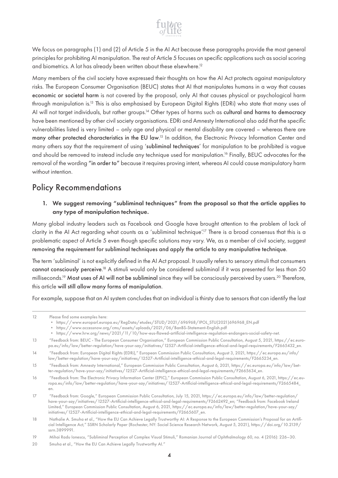

We focus on paragraphs (1) and (2) of Article 5 in the AI Act because these paragraphs provide the most general principles for prohibiting AI manipulation. The rest of Article 5 focuses on specific applications such as social scoring and biometrics. A lot has already been written about these elsewhere.<sup>12</sup>

Many members of the civil society have expressed their thoughts on how the AI Act protects against manipulatory risks. The European Consumer Organisation (BEUC) states that AI that manipulates humans in a way that causes economic or societal harm is not covered by the proposal, only AI that causes physical or psychological harm through manipulation is.<sup>13</sup> This is also emphasised by European Digital Rights (EDRi) who state that many uses of AI will not target individuals, but rather groups.<sup>14</sup> Other types of harms such as cultural and harms to democracy have been mentioned by other civil society organisations. EDRi and Amnesty International also add that the specific vulnerabilities listed is very limited – only age and physical or mental disability are covered – whereas there are many other protected characteristics in the EU law.<sup>15</sup> In addition, the Electronic Privacy Information Center and many others say that the requirement of using 'subliminal techniques' for manipulation to be prohibited is vague and should be removed to instead include any technique used for manipulation.16 Finally, BEUC advocates for the removal of the wording "in order to" because it requires proving intent, whereas AI could cause manipulatory harm without intention.

#### Policy Recommendations

1. We suggest removing "subliminal techniques" from the proposal so that the article applies to any type of manipulation technique.

Many global industry leaders such as Facebook and Google have brought attention to the problem of lack of clarity in the AI Act regarding what counts as a 'subliminal technique'.<sup>17</sup> There is a broad consensus that this is a problematic aspect of Article 5 even though specific solutions may vary. We, as a member of civil society, suggest removing the requirement for subliminal techniques and apply the article to any manipulative technique.

The term 'subliminal' is not explicitly defined in the AI Act proposal. It usually refers to sensory stimuli that consumers cannot consciously perceive.<sup>18</sup> A stimuli would only be considered subliminal if it was presented for less than 50 milliseconds.<sup>19</sup> Most uses of AI will not be subliminal since they will be consciously perceived by users.<sup>20</sup> Therefore, this article will still allow many forms of manipulation.

For example, suppose that an AI system concludes that an individual is thirsty due to sensors that can identify the last

<sup>12</sup> Please find some examples here:

<sup>•</sup> https://www.europarl.europa.eu/RegData/etudes/STUD/2021/696968/IPOL\_STU(2021)696968\_EN.pdf

<sup>•</sup> https://www.accessnow.org/cms/assets/uploads/2021/06/BanBS-Statement-English.pdf

<sup>•</sup> https://www.hrw.org/news/2021/11/10/how-eus-flawed-artificial-intelligence-regulation-endangers-social-safety-net.

<sup>13 &</sup>quot;Feedback from: BEUC - The European Consumer Organisation," European Commission Public Consultation, August 5, 2021, https://ec.europa.eu/info/law/better-regulation/have-your-say/initiatives/12527-Artificial-intelligence-ethical-and-legal-requirements/F2665432\_en.

<sup>14 &</sup>quot;Feedback from: European Digital Rights (EDRi)," European Commission Public Consultation, August 3, 2021, https://ec.europa.eu/info/ law/better-regulation/have-your-say/initiatives/12527-Artificial-intelligence-ethical-and-legal-requirements/F2665234\_en.

<sup>15 &</sup>quot;Feedback from: Amnesty International," European Commission Public Consultation, August 6, 2021, https://ec.europa.eu/info/law/better-regulation/have-your-say/initiatives/12527-Artificial-intelligence-ethical-and-legal-requirements/F2665634\_en.

<sup>16 &</sup>quot;Feedback from: The Electronic Privacy Information Center (EPIC)," European Commission Public Consultation, August 6, 2021, https://ec.europa.eu/info/law/better-regulation/have-your-say/initiatives/12527-Artificial-intelligence-ethical-and-legal-requirements/F2665484\_ en.

<sup>17 &</sup>quot;Feedback from: Google," European Commission Public Consultation, July 15, 2021, https://ec.europa.eu/info/law/better-regulation/ have-your-say/initiatives/12527-Artificial-intelligence-ethical-and-legal-requirements/F2662492\_en; "Feedback from: Facebook Ireland Limited," European Commission Public Consultation, August 6, 2021, https://ec.europa.eu/info/law/better-regulation/have-your-say/ initiatives/12527-Artificial-intelligence-ethical-and-legal-requirements/F2665607\_en.

<sup>18</sup> Nathalie A. Smuha et al., "How the EU Can Achieve Legally Trustworthy AI: A Response to the European Commission's Proposal for an Artificial Intelligence Act," SSRN Scholarly Paper (Rochester, NY: Social Science Research Network, August 5, 2021), https://doi.org/10.2139/ ssrn.3899991.

<sup>19</sup> Mihai Radu Ionescu, "Subliminal Perception of Complex Visual Stimuli," Romanian Journal of Ophthalmology 60, no. 4 (2016): 226–30.

<sup>20</sup> Smuha et al., "How the EU Can Achieve Legally Trustworthy AI."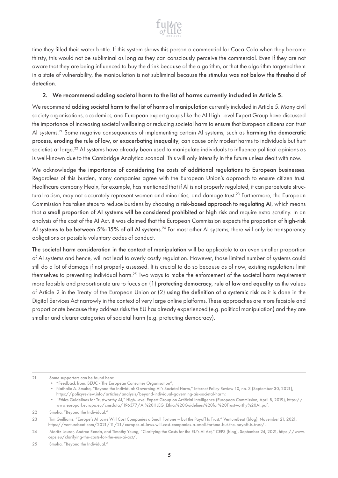

time they filled their water bottle. If this system shows this person a commercial for Coca-Cola when they become thirsty, this would not be subliminal as long as they can consciously perceive the commercial. Even if they are not aware that they are being influenced to buy the drink because of the algorithm, or that the algorithm targeted them in a state of vulnerability, the manipulation is not subliminal because the stimulus was not below the threshold of detection.

#### 2. We recommend adding societal harm to the list of harms currently included in Article 5.

We recommend adding societal harm to the list of harms of manipulation currently included in Article 5. Many civil society organisations, academics, and European expert groups like the AI High-Level Expert Group have discussed the importance of increasing societal wellbeing or reducing societal harm to ensure that European citizens can trust AI systems.<sup>21</sup> Some negative consequences of implementing certain AI systems, such as harming the democratic process, eroding the rule of law, or exacerbating inequality, can cause only modest harms to individuals but hurt societies at large.<sup>22</sup> AI systems have already been used to manipulate individuals to influence political opinions as is well-known due to the Cambridge Analytica scandal. This will only intensify in the future unless dealt with now.

We acknowledge the importance of considering the costs of additional regulations to European businesses. Regardless of this burden, many companies agree with the European Union's approach to ensure citizen trust. Healthcare company Healx, for example, has mentioned that if AI is not properly regulated, it can perpetuate structural racism, may not accurately represent women and minorities, and damage trust.<sup>23</sup> Furthermore, the European Commission has taken steps to reduce burdens by choosing a risk-based approach to regulating AI, which means that a small proportion of AI systems will be considered prohibited or high risk and require extra scrutiny. In an analysis of the cost of the AI Act, it was claimed that the European Commission expects the proportion of high-risk AI systems to be between 5%-15% of all AI systems.<sup>24</sup> For most other AI systems, there will only be transparency obligations or possible voluntary codes of conduct.

The societal harm consideration in the context of manipulation will be applicable to an even smaller proportion of AI systems and hence, will not lead to overly costly regulation. However, those limited number of systems could still do a lot of damage if not properly assessed. It is crucial to do so because as of now, existing regulations limit themselves to preventing individual harm.25 Two ways to make the enforcement of the societal harm requirement more feasible and proportionate are to focus on (1) protecting democracy, rule of law and equality as the values of Article 2 in the Treaty of the European Union or (2) using the definition of a systemic risk as it is done in the Digital Services Act narrowly in the context of very large online platforms. These approaches are more feasible and proportionate because they address risks the EU has already experienced (e.g. political manipulation) and they are smaller and clearer categories of societal harm (e.g. protecting democracy).

<sup>21</sup> Some supporters can be found here:

<sup>•</sup> "Feedback from: BEUC - The European Consumer Organisation";

<sup>•</sup> Nathalie A. Smuha, "Beyond the Individual: Governing AI's Societal Harm," Internet Policy Review 10, no. 3 (September 30, 2021), https://policyreview.info/articles/analysis/beyond-individual-governing-ais-societal-harm;

<sup>•</sup> "Ethics Guidelines for Trustworthy AI," High-Level Expert Group on Artificial Intelligence (European Commission, April 8, 2019), https:// www.europarl.europa.eu/cmsdata/196377/AI%20HLEG\_Ethics%20Guidelines%20for%20Trustworthy%20AI.pdf.

<sup>22</sup> Smuha, "Beyond the Individual."

<sup>23</sup> Tim Guilliams, "Europe's AI Laws Will Cost Companies a Small Fortune – but the Payoff Is Trust," VentureBeat (blog), November 21, 2021, https://venturebeat.com/2021/11/21/europes-ai-laws-will-cost-companies-a-small-fortune-but-the-payoff-is-trust/.

<sup>24</sup> Moritz Laurer, Andrea Renda, and Timothy Yeung, "Clarifying the Costs for the EU's AI Act," CEPS (blog), September 24, 2021, https://www. ceps.eu/clarifying-the-costs-for-the-eus-ai-act/.

<sup>25</sup> Smuha, "Beyond the Individual."